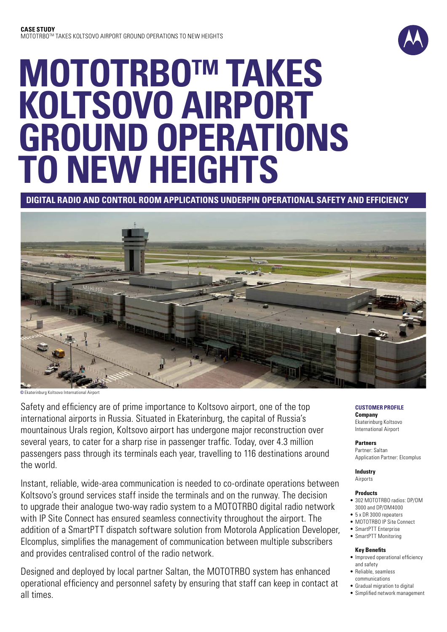

# **MOTOTRBOTM TAKES KOLTSOVO AIRPORT GROUND OPERATIONS TO NEW HEIGHTS**

# **Digital radio and control room applications underpin operational safety and efficiency**



**©** Ekaterinburg Koltsovo International Airport

Safety and efficiency are of prime importance to Koltsovo airport, one of the top international airports in Russia. Situated in Ekaterinburg, the capital of Russia's mountainous Urals region, Koltsovo airport has undergone major reconstruction over several years, to cater for a sharp rise in passenger traffic. Today, over 4.3 million passengers pass through its terminals each year, travelling to 116 destinations around the world.

Instant, reliable, wide-area communication is needed to co-ordinate operations between Koltsovo's ground services staff inside the terminals and on the runway. The decision to upgrade their analogue two-way radio system to a MOTOTRBO digital radio network with IP Site Connect has ensured seamless connectivity throughout the airport. The addition of a SmartPTT dispatch software solution from Motorola Application Developer, Elcomplus, simplifies the management of communication between multiple subscribers and provides centralised control of the radio network.

Designed and deployed by local partner Saltan, the MOTOTRBO system has enhanced operational efficiency and personnel safety by ensuring that staff can keep in contact at all times.

**CUSTOMER PROFILE Company** Ekaterinburg Koltsovo International Airport

**Partners** Partner: Saltan Application Partner: Elcomplus

**Industry** Airports

#### **Products**

- 302 MOTOTRBO radios: DP/DM 3000 and DP/DM4000
- 5 x DR 3000 repeaters
- • MOTOTRBO IP Site Connect
- SmartPTT Enterprise • SmartPTT Monitoring
- 

#### **Key Benefits**

- Improved operational efficiency and safety
- • Reliable, seamless communications
- • Gradual migration to digital
- • Simplified network management